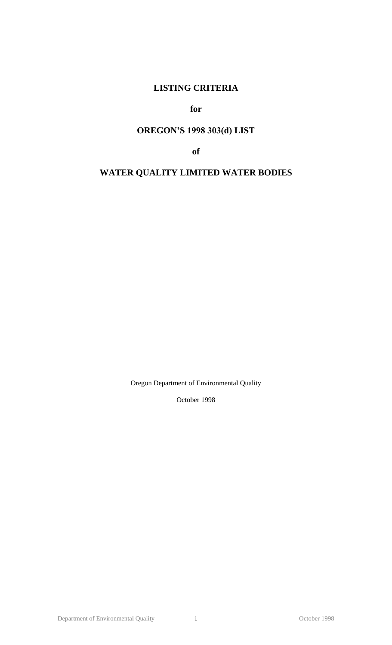# **LISTING CRITERIA**

# **for**

# **OREGON'S 1998 303(d) LIST**

**of**

# **WATER QUALITY LIMITED WATER BODIES**

Oregon Department of Environmental Quality

October 1998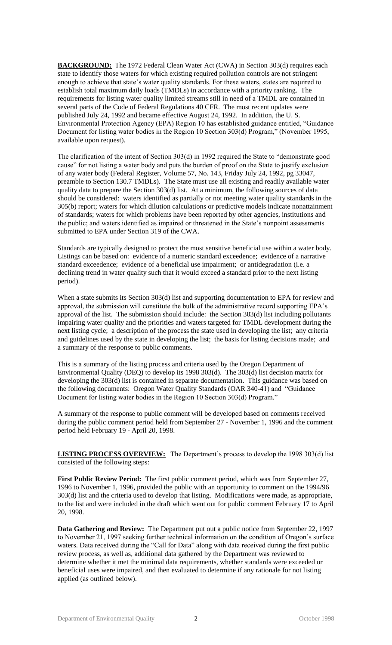**BACKGROUND:** The 1972 Federal Clean Water Act (CWA) in Section 303(d) requires each state to identify those waters for which existing required pollution controls are not stringent enough to achieve that state's water quality standards. For these waters, states are required to establish total maximum daily loads (TMDLs) in accordance with a priority ranking. The requirements for listing water quality limited streams still in need of a TMDL are contained in several parts of the Code of Federal Regulations 40 CFR. The most recent updates were published July 24, 1992 and became effective August 24, 1992. In addition, the U. S. Environmental Protection Agency (EPA) Region 10 has established guidance entitled, "Guidance Document for listing water bodies in the Region 10 Section 303(d) Program," (November 1995, available upon request).

The clarification of the intent of Section 303(d) in 1992 required the State to "demonstrate good cause" for not listing a water body and puts the burden of proof on the State to justify exclusion of any water body (Federal Register, Volume 57, No. 143, Friday July 24, 1992, pg 33047, preamble to Section 130.7 TMDLs). The State must use all existing and readily available water quality data to prepare the Section 303(d) list. At a minimum, the following sources of data should be considered: waters identified as partially or not meeting water quality standards in the 305(b) report; waters for which dilution calculations or predictive models indicate nonattainment of standards; waters for which problems have been reported by other agencies, institutions and the public; and waters identified as impaired or threatened in the State's nonpoint assessments submitted to EPA under Section 319 of the CWA.

Standards are typically designed to protect the most sensitive beneficial use within a water body. Listings can be based on: evidence of a numeric standard exceedence; evidence of a narrative standard exceedence; evidence of a beneficial use impairment; or antidegradation (i.e. a declining trend in water quality such that it would exceed a standard prior to the next listing period).

When a state submits its Section 303(d) list and supporting documentation to EPA for review and approval, the submission will constitute the bulk of the administrative record supporting EPA's approval of the list. The submission should include: the Section 303(d) list including pollutants impairing water quality and the priorities and waters targeted for TMDL development during the next listing cycle; a description of the process the state used in developing the list; any criteria and guidelines used by the state in developing the list; the basis for listing decisions made; and a summary of the response to public comments.

This is a summary of the listing process and criteria used by the Oregon Department of Environmental Quality (DEQ) to develop its 1998 303(d). The 303(d) list decision matrix for developing the 303(d) list is contained in separate documentation. This guidance was based on the following documents: Oregon Water Quality Standards (OAR 340-41) and "Guidance Document for listing water bodies in the Region 10 Section 303(d) Program."

A summary of the response to public comment will be developed based on comments received during the public comment period held from September 27 - November 1, 1996 and the comment period held February 19 - April 20, 1998.

**LISTING PROCESS OVERVIEW:** The Department's process to develop the 1998 303(d) list consisted of the following steps:

**First Public Review Period:** The first public comment period, which was from September 27, 1996 to November 1, 1996, provided the public with an opportunity to comment on the 1994/96 303(d) list and the criteria used to develop that listing. Modifications were made, as appropriate, to the list and were included in the draft which went out for public comment February 17 to April 20, 1998.

**Data Gathering and Review:** The Department put out a public notice from September 22, 1997 to November 21, 1997 seeking further technical information on the condition of Oregon's surface waters. Data received during the "Call for Data" along with data received during the first public review process, as well as, additional data gathered by the Department was reviewed to determine whether it met the minimal data requirements, whether standards were exceeded or beneficial uses were impaired, and then evaluated to determine if any rationale for not listing applied (as outlined below).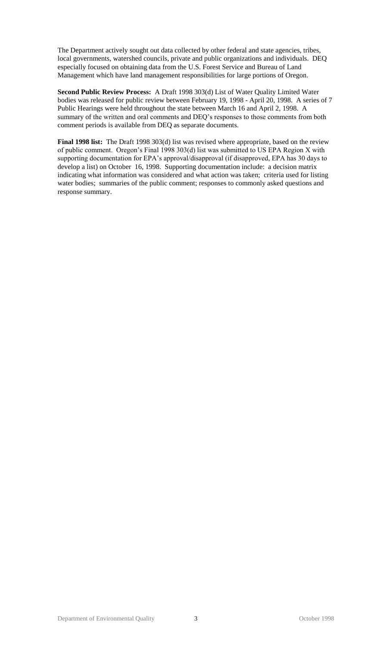The Department actively sought out data collected by other federal and state agencies, tribes, local governments, watershed councils, private and public organizations and individuals. DEQ especially focused on obtaining data from the U.S. Forest Service and Bureau of Land Management which have land management responsibilities for large portions of Oregon.

**Second Public Review Process:** A Draft 1998 303(d) List of Water Quality Limited Water bodies was released for public review between February 19, 1998 - April 20, 1998. A series of 7 Public Hearings were held throughout the state between March 16 and April 2, 1998. A summary of the written and oral comments and DEQ's responses to those comments from both comment periods is available from DEQ as separate documents.

**Final 1998 list:** The Draft 1998 303(d) list was revised where appropriate, based on the review of public comment. Oregon's Final 1998 303(d) list was submitted to US EPA Region X with supporting documentation for EPA's approval/disapproval (if disapproved, EPA has 30 days to develop a list) on October 16, 1998. Supporting documentation include: a decision matrix indicating what information was considered and what action was taken; criteria used for listing water bodies; summaries of the public comment; responses to commonly asked questions and response summary.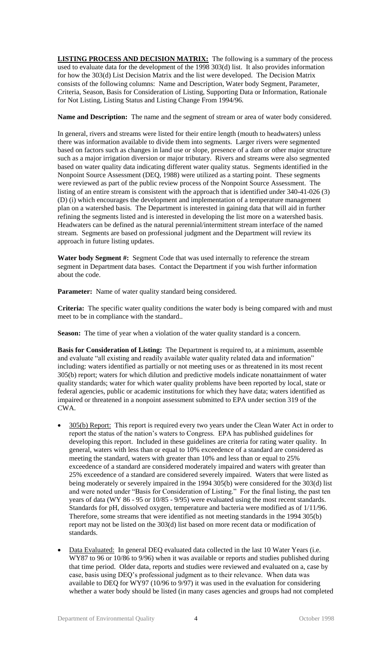**LISTING PROCESS AND DECISION MATRIX:** The following is a summary of the process used to evaluate data for the development of the 1998 303(d) list. It also provides information for how the 303(d) List Decision Matrix and the list were developed. The Decision Matrix consists of the following columns: Name and Description, Water body Segment, Parameter, Criteria, Season, Basis for Consideration of Listing, Supporting Data or Information, Rationale for Not Listing, Listing Status and Listing Change From 1994/96.

**Name and Description:** The name and the segment of stream or area of water body considered.

In general, rivers and streams were listed for their entire length (mouth to headwaters) unless there was information available to divide them into segments. Larger rivers were segmented based on factors such as changes in land use or slope, presence of a dam or other major structure such as a major irrigation diversion or major tributary. Rivers and streams were also segmented based on water quality data indicating different water quality status. Segments identified in the Nonpoint Source Assessment (DEQ, 1988) were utilized as a starting point. These segments were reviewed as part of the public review process of the Nonpoint Source Assessment. The listing of an entire stream is consistent with the approach that is identified under 340-41-026 (3) (D) (i) which encourages the development and implementation of a temperature management plan on a watershed basis. The Department is interested in gaining data that will aid in further refining the segments listed and is interested in developing the list more on a watershed basis. Headwaters can be defined as the natural perennial/intermittent stream interface of the named stream. Segments are based on professional judgment and the Department will review its approach in future listing updates.

Water body Segment #: Segment Code that was used internally to reference the stream segment in Department data bases. Contact the Department if you wish further information about the code.

Parameter: Name of water quality standard being considered.

**Criteria:** The specific water quality conditions the water body is being compared with and must meet to be in compliance with the standard..

**Season:** The time of year when a violation of the water quality standard is a concern.

**Basis for Consideration of Listing:** The Department is required to, at a minimum, assemble and evaluate "all existing and readily available water quality related data and information" including: waters identified as partially or not meeting uses or as threatened in its most recent 305(b) report; waters for which dilution and predictive models indicate nonattainment of water quality standards; water for which water quality problems have been reported by local, state or federal agencies, public or academic institutions for which they have data; waters identified as impaired or threatened in a nonpoint assessment submitted to EPA under section 319 of the CWA.

- 305(b) Report: This report is required every two years under the Clean Water Act in order to report the status of the nation's waters to Congress. EPA has published guidelines for developing this report. Included in these guidelines are criteria for rating water quality. In general, waters with less than or equal to 10% exceedence of a standard are considered as meeting the standard, waters with greater than 10% and less than or equal to 25% exceedence of a standard are considered moderately impaired and waters with greater than 25% exceedence of a standard are considered severely impaired. Waters that were listed as being moderately or severely impaired in the 1994 305(b) were considered for the 303(d) list and were noted under "Basis for Consideration of Listing." For the final listing, the past ten years of data (WY 86 - 95 or 10/85 - 9/95) were evaluated using the most recent standards. Standards for pH, dissolved oxygen, temperature and bacteria were modified as of 1/11/96. Therefore, some streams that were identified as not meeting standards in the 1994 305(b) report may not be listed on the 303(d) list based on more recent data or modification of standards.
- Data Evaluated: In general DEQ evaluated data collected in the last 10 Water Years (i.e. WY87 to 96 or 10/86 to 9/96) when it was available or reports and studies published during that time period. Older data, reports and studies were reviewed and evaluated on a, case by case, basis using DEQ's professional judgment as to their relevance. When data was available to DEQ for WY97 (10/96 to 9/97) it was used in the evaluation for considering whether a water body should be listed (in many cases agencies and groups had not completed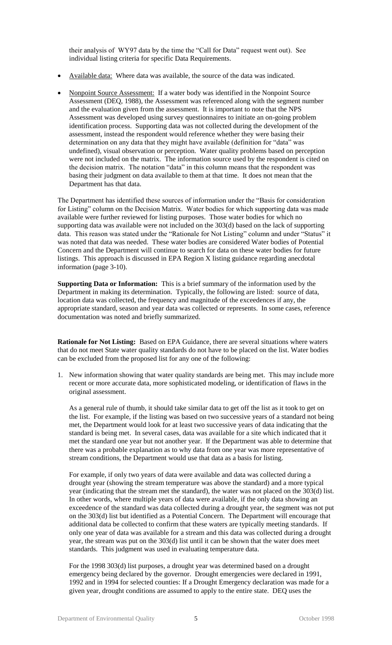their analysis of WY97 data by the time the "Call for Data" request went out). See individual listing criteria for specific Data Requirements.

- Available data: Where data was available, the source of the data was indicated.
- Nonpoint Source Assessment: If a water body was identified in the Nonpoint Source Assessment (DEQ, 1988), the Assessment was referenced along with the segment number and the evaluation given from the assessment. It is important to note that the NPS Assessment was developed using survey questionnaires to initiate an on-going problem identification process. Supporting data was not collected during the development of the assessment, instead the respondent would reference whether they were basing their determination on any data that they might have available (definition for "data" was undefined), visual observation or perception. Water quality problems based on perception were not included on the matrix. The information source used by the respondent is cited on the decision matrix. The notation "data" in this column means that the respondent was basing their judgment on data available to them at that time. It does not mean that the Department has that data.

The Department has identified these sources of information under the "Basis for consideration for Listing" column on the Decision Matrix. Water bodies for which supporting data was made available were further reviewed for listing purposes. Those water bodies for which no supporting data was available were not included on the 303(d) based on the lack of supporting data. This reason was stated under the "Rationale for Not Listing" column and under "Status" it was noted that data was needed. These water bodies are considered Water bodies of Potential Concern and the Department will continue to search for data on these water bodies for future listings. This approach is discussed in EPA Region X listing guidance regarding anecdotal information (page 3-10).

**Supporting Data or Information:** This is a brief summary of the information used by the Department in making its determination. Typically, the following are listed: source of data, location data was collected, the frequency and magnitude of the exceedences if any, the appropriate standard, season and year data was collected or represents. In some cases, reference documentation was noted and briefly summarized.

**Rationale for Not Listing:** Based on EPA Guidance, there are several situations where waters that do not meet State water quality standards do not have to be placed on the list. Water bodies can be excluded from the proposed list for any one of the following:

1. New information showing that water quality standards are being met. This may include more recent or more accurate data, more sophisticated modeling, or identification of flaws in the original assessment.

As a general rule of thumb, it should take similar data to get off the list as it took to get on the list. For example, if the listing was based on two successive years of a standard not being met, the Department would look for at least two successive years of data indicating that the standard is being met. In several cases, data was available for a site which indicated that it met the standard one year but not another year. If the Department was able to determine that there was a probable explanation as to why data from one year was more representative of stream conditions, the Department would use that data as a basis for listing.

For example, if only two years of data were available and data was collected during a drought year (showing the stream temperature was above the standard) and a more typical year (indicating that the stream met the standard), the water was not placed on the 303(d) list. In other words, where multiple years of data were available, if the only data showing an exceedence of the standard was data collected during a drought year, the segment was not put on the 303(d) list but identified as a Potential Concern. The Department will encourage that additional data be collected to confirm that these waters are typically meeting standards. If only one year of data was available for a stream and this data was collected during a drought year, the stream was put on the 303(d) list until it can be shown that the water does meet standards. This judgment was used in evaluating temperature data.

For the 1998 303(d) list purposes, a drought year was determined based on a drought emergency being declared by the governor. Drought emergencies were declared in 1991, 1992 and in 1994 for selected counties: If a Drought Emergency declaration was made for a given year, drought conditions are assumed to apply to the entire state. DEQ uses the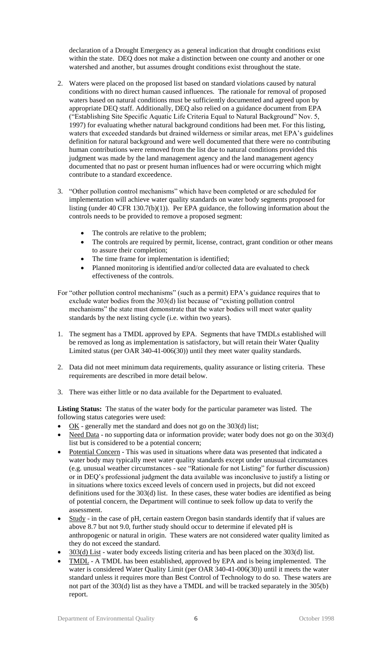declaration of a Drought Emergency as a general indication that drought conditions exist within the state. DEQ does not make a distinction between one county and another or one watershed and another, but assumes drought conditions exist throughout the state.

- 2. Waters were placed on the proposed list based on standard violations caused by natural conditions with no direct human caused influences. The rationale for removal of proposed waters based on natural conditions must be sufficiently documented and agreed upon by appropriate DEQ staff. Additionally, DEQ also relied on a guidance document from EPA ("Establishing Site Specific Aquatic Life Criteria Equal to Natural Background" Nov. 5, 1997) for evaluating whether natural background conditions had been met. For this listing, waters that exceeded standards but drained wilderness or similar areas, met EPA's guidelines definition for natural background and were well documented that there were no contributing human contributions were removed from the list due to natural conditions provided this judgment was made by the land management agency and the land management agency documented that no past or present human influences had or were occurring which might contribute to a standard exceedence.
- 3. "Other pollution control mechanisms" which have been completed or are scheduled for implementation will achieve water quality standards on water body segments proposed for listing (under 40 CFR 130.7(b)(1)). Per EPA guidance, the following information about the controls needs to be provided to remove a proposed segment:
	- The controls are relative to the problem;
	- The controls are required by permit, license, contract, grant condition or other means to assure their completion;
	- The time frame for implementation is identified;
	- Planned monitoring is identified and/or collected data are evaluated to check effectiveness of the controls.
- For "other pollution control mechanisms" (such as a permit) EPA's guidance requires that to exclude water bodies from the 303(d) list because of "existing pollution control mechanisms" the state must demonstrate that the water bodies will meet water quality standards by the next listing cycle (i.e. within two years).
- 1. The segment has a TMDL approved by EPA. Segments that have TMDLs established will be removed as long as implementation is satisfactory, but will retain their Water Quality Limited status (per OAR 340-41-006(30)) until they meet water quality standards.
- 2. Data did not meet minimum data requirements, quality assurance or listing criteria. These requirements are described in more detail below.
- 3. There was either little or no data available for the Department to evaluated.

**Listing Status:** The status of the water body for the particular parameter was listed. The following status categories were used:

- OK generally met the standard and does not go on the 303(d) list;
- Need Data no supporting data or information provide; water body does not go on the 303(d) list but is considered to be a potential concern;
- Potential Concern This was used in situations where data was presented that indicated a water body may typically meet water quality standards except under unusual circumstances (e.g. unusual weather circumstances - see "Rationale for not Listing" for further discussion) or in DEQ's professional judgment the data available was inconclusive to justify a listing or in situations where toxics exceed levels of concern used in projects, but did not exceed definitions used for the 303(d) list. In these cases, these water bodies are identified as being of potential concern, the Department will continue to seek follow up data to verify the assessment.
- Study in the case of pH, certain eastern Oregon basin standards identify that if values are above 8.7 but not 9.0, further study should occur to determine if elevated pH is anthropogenic or natural in origin. These waters are not considered water quality limited as they do not exceed the standard.
- 303(d) List water body exceeds listing criteria and has been placed on the 303(d) list.
- TMDL A TMDL has been established, approved by EPA and is being implemented. The water is considered Water Quality Limit (per OAR 340-41-006(30)) until it meets the water standard unless it requires more than Best Control of Technology to do so. These waters are not part of the 303(d) list as they have a TMDL and will be tracked separately in the 305(b) report.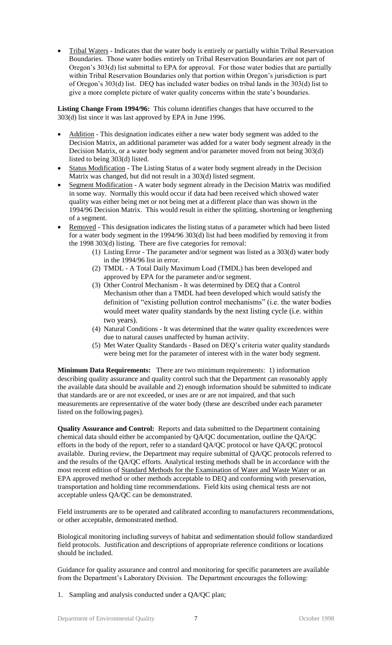Tribal Waters - Indicates that the water body is entirely or partially within Tribal Reservation Boundaries. Those water bodies entirely on Tribal Reservation Boundaries are not part of Oregon's 303(d) list submittal to EPA for approval. For those water bodies that are partially within Tribal Reservation Boundaries only that portion within Oregon's jurisdiction is part of Oregon's 303(d) list. DEQ has included water bodies on tribal lands in the 303(d) list to give a more complete picture of water quality concerns within the state's boundaries.

**Listing Change From 1994/96:** This column identifies changes that have occurred to the 303(d) list since it was last approved by EPA in June 1996.

- Addition This designation indicates either a new water body segment was added to the Decision Matrix, an additional parameter was added for a water body segment already in the Decision Matrix, or a water body segment and/or parameter moved from not being 303(d) listed to being 303(d) listed.
- Status Modification The Listing Status of a water body segment already in the Decision Matrix was changed, but did not result in a 303(d) listed segment.
- Segment Modification A water body segment already in the Decision Matrix was modified in some way. Normally this would occur if data had been received which showed water quality was either being met or not being met at a different place than was shown in the 1994/96 Decision Matrix. This would result in either the splitting, shortening or lengthening of a segment.
- Removed This designation indicates the listing status of a parameter which had been listed for a water body segment in the 1994/96 303(d) list had been modified by removing it from the 1998 303(d) listing. There are five categories for removal:
	- (1) Listing Error The parameter and/or segment was listed as a 303(d) water body in the 1994/96 list in error.
	- (2) TMDL A Total Daily Maximum Load (TMDL) has been developed and approved by EPA for the parameter and/or segment.
	- (3) Other Control Mechanism It was determined by DEQ that a Control Mechanism other than a TMDL had been developed which would satisfy the definition of "existing pollution control mechanisms" (i.e. the water bodies would meet water quality standards by the next listing cycle (i.e. within two years).
	- (4) Natural Conditions It was determined that the water quality exceedences were due to natural causes unaffected by human activity.
	- (5) Met Water Quality Standards Based on DEQ's criteria water quality standards were being met for the parameter of interest with in the water body segment.

**Minimum Data Requirements:** There are two minimum requirements: 1) information describing quality assurance and quality control such that the Department can reasonably apply the available data should be available and 2) enough information should be submitted to indicate that standards are or are not exceeded, or uses are or are not impaired, and that such measurements are representative of the water body (these are described under each parameter listed on the following pages).

**Quality Assurance and Control:** Reports and data submitted to the Department containing chemical data should either be accompanied by QA/QC documentation, outline the QA/QC efforts in the body of the report, refer to a standard QA/QC protocol or have QA/QC protocol available. During review, the Department may require submittal of QA/QC protocols referred to and the results of the QA/QC efforts. Analytical testing methods shall be in accordance with the most recent edition of Standard Methods for the Examination of Water and Waste Water or an EPA approved method or other methods acceptable to DEQ and conforming with preservation, transportation and holding time recommendations. Field kits using chemical tests are not acceptable unless QA/QC can be demonstrated.

Field instruments are to be operated and calibrated according to manufacturers recommendations, or other acceptable, demonstrated method.

Biological monitoring including surveys of habitat and sedimentation should follow standardized field protocols. Justification and descriptions of appropriate reference conditions or locations should be included.

Guidance for quality assurance and control and monitoring for specific parameters are available from the Department's Laboratory Division. The Department encourages the following:

1. Sampling and analysis conducted under a QA/QC plan;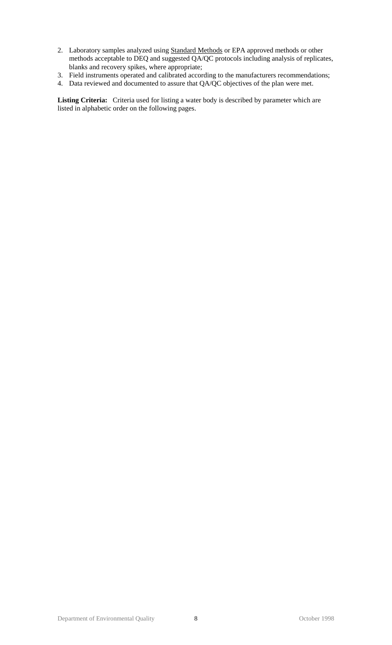- 2. Laboratory samples analyzed using **Standard Methods** or EPA approved methods or other methods acceptable to DEQ and suggested QA/QC protocols including analysis of replicates, blanks and recovery spikes, where appropriate;
- 3. Field instruments operated and calibrated according to the manufacturers recommendations;
- 4. Data reviewed and documented to assure that QA/QC objectives of the plan were met.

**Listing Criteria:** Criteria used for listing a water body is described by parameter which are listed in alphabetic order on the following pages.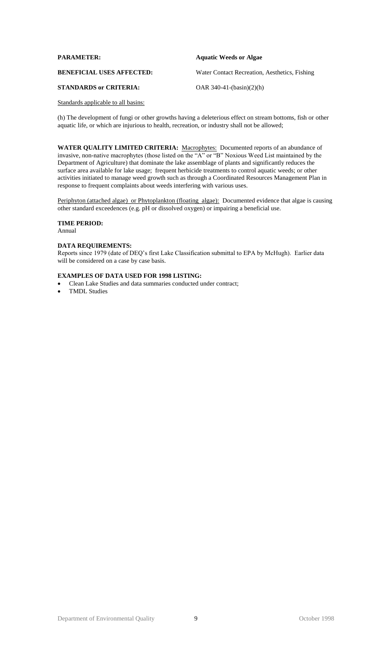| <b>PARAMETER:</b>                | <b>Aquatic Weeds or Algae</b>                 |
|----------------------------------|-----------------------------------------------|
| <b>BENEFICIAL USES AFFECTED:</b> | Water Contact Recreation, Aesthetics, Fishing |
| <b>STANDARDS or CRITERIA:</b>    | OAR $340-41-(basin)(2)(h)$                    |

(h) The development of fungi or other growths having a deleterious effect on stream bottoms, fish or other aquatic life, or which are injurious to health, recreation, or industry shall not be allowed;

**WATER QUALITY LIMITED CRITERIA:** Macrophytes: Documented reports of an abundance of invasive, non-native macrophytes (those listed on the "A" or "B" Noxious Weed List maintained by the Department of Agriculture) that dominate the lake assemblage of plants and significantly reduces the surface area available for lake usage; frequent herbicide treatments to control aquatic weeds; or other activities initiated to manage weed growth such as through a Coordinated Resources Management Plan in response to frequent complaints about weeds interfering with various uses.

Periphyton (attached algae) or Phytoplankton (floating algae): Documented evidence that algae is causing other standard exceedences (e.g. pH or dissolved oxygen) or impairing a beneficial use.

# **TIME PERIOD:**

Annual

# **DATA REQUIREMENTS:**

Reports since 1979 (date of DEQ's first Lake Classification submittal to EPA by McHugh). Earlier data will be considered on a case by case basis.

- Clean Lake Studies and data summaries conducted under contract;
- TMDL Studies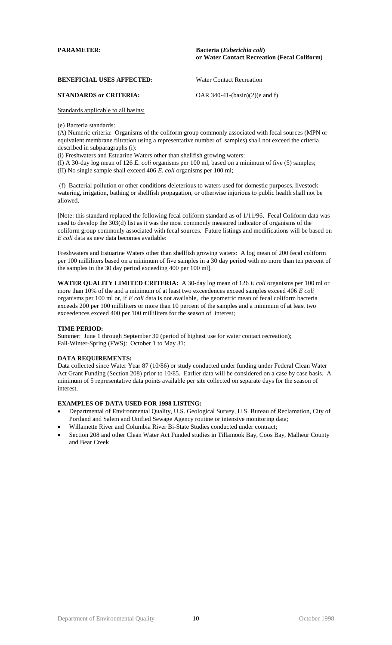**PARAMETER: Bacteria (***Esherichia coli***) or Water Contact Recreation (Fecal Coliform)**

**BENEFICIAL USES AFFECTED:** Water Contact Recreation

# **STANDARDS or CRITERIA:** OAR 340-41-(basin)(2)(e and f)

Standards applicable to all basins:

(e) Bacteria standards:

(A) Numeric criteria: Organisms of the coliform group commonly associated with fecal sources (MPN or equivalent membrane filtration using a representative number of samples) shall not exceed the criteria described in subparagraphs (i):

(i) Freshwaters and Estuarine Waters other than shellfish growing waters:

(I) A 30-day log mean of 126 *E. coli* organisms per 100 ml, based on a minimum of five (5) samples; (II) No single sample shall exceed 406 *E. coli* organisms per 100 ml;

(f) Bacterial pollution or other conditions deleterious to waters used for domestic purposes, livestock watering, irrigation, bathing or shellfish propagation, or otherwise injurious to public health shall not be allowed.

[Note: this standard replaced the following fecal coliform standard as of 1/11/96. Fecal Coliform data was used to develop the 303(d) list as it was the most commonly measured indicator of organisms of the coliform group commonly associated with fecal sources. Future listings and modifications will be based on *E coli* data as new data becomes available:

Freshwaters and Estuarine Waters other than shellfish growing waters: A log mean of 200 fecal coliform per 100 milliliters based on a minimum of five samples in a 30 day period with no more than ten percent of the samples in the 30 day period exceeding 400 per 100 ml].

**WATER QUALITY LIMITED CRITERIA:** A 30-day log mean of 126 *E coli* organisms per 100 ml or more than 10% of the and a minimum of at least two exceedences exceed samples exceed 406 *E coli* organisms per 100 ml or, if *E coli* data is not available, the geometric mean of fecal coliform bacteria exceeds 200 per 100 milliliters or more than 10 percent of the samples and a minimum of at least two exceedences exceed 400 per 100 milliliters for the season of interest;

# **TIME PERIOD:**

Summer: June 1 through September 30 (period of highest use for water contact recreation); Fall-Winter-Spring (FWS): October 1 to May 31;

# **DATA REQUIREMENTS:**

Data collected since Water Year 87 (10/86) or study conducted under funding under Federal Clean Water Act Grant Funding (Section 208) prior to 10/85. Earlier data will be considered on a case by case basis. A minimum of 5 representative data points available per site collected on separate days for the season of interest.

- Departmental of Environmental Quality, U.S. Geological Survey, U.S. Bureau of Reclamation, City of Portland and Salem and Unified Sewage Agency routine or intensive monitoring data;
- Willamette River and Columbia River Bi-State Studies conducted under contract;
- Section 208 and other Clean Water Act Funded studies in Tillamook Bay, Coos Bay, Malheur County and Bear Creek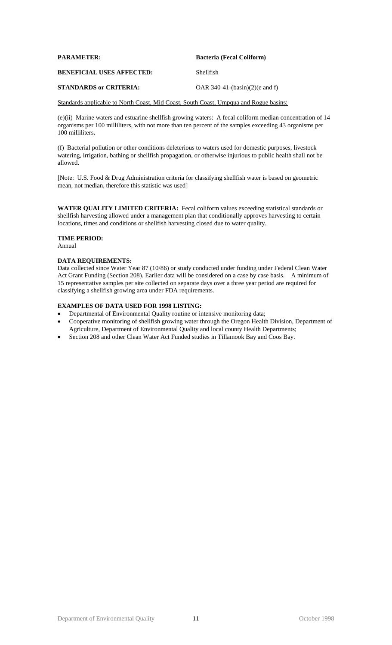| <b>Bacteria (Fecal Coliform)</b> |
|----------------------------------|
| Shellfish                        |
|                                  |

# **STANDARDS or CRITERIA:** OAR 340-41-(basin)(2)(e and f)

Standards applicable to North Coast, Mid Coast, South Coast, Umpqua and Rogue basins:

(e)(ii) Marine waters and estuarine shellfish growing waters: A fecal coliform median concentration of 14 organisms per 100 milliliters, with not more than ten percent of the samples exceeding 43 organisms per 100 milliliters.

(f) Bacterial pollution or other conditions deleterious to waters used for domestic purposes, livestock watering, irrigation, bathing or shellfish propagation, or otherwise injurious to public health shall not be allowed.

[Note: U.S. Food & Drug Administration criteria for classifying shellfish water is based on geometric mean, not median, therefore this statistic was used]

**WATER QUALITY LIMITED CRITERIA:** Fecal coliform values exceeding statistical standards or shellfish harvesting allowed under a management plan that conditionally approves harvesting to certain locations, times and conditions or shellfish harvesting closed due to water quality.

# **TIME PERIOD:**

Annual

# **DATA REQUIREMENTS:**

Data collected since Water Year 87 (10/86) or study conducted under funding under Federal Clean Water Act Grant Funding (Section 208). Earlier data will be considered on a case by case basis. A minimum of 15 representative samples per site collected on separate days over a three year period are required for classifying a shellfish growing area under FDA requirements.

- Departmental of Environmental Quality routine or intensive monitoring data;
- Cooperative monitoring of shellfish growing water through the Oregon Health Division, Department of Agriculture, Department of Environmental Quality and local county Health Departments;
- Section 208 and other Clean Water Act Funded studies in Tillamook Bay and Coos Bay.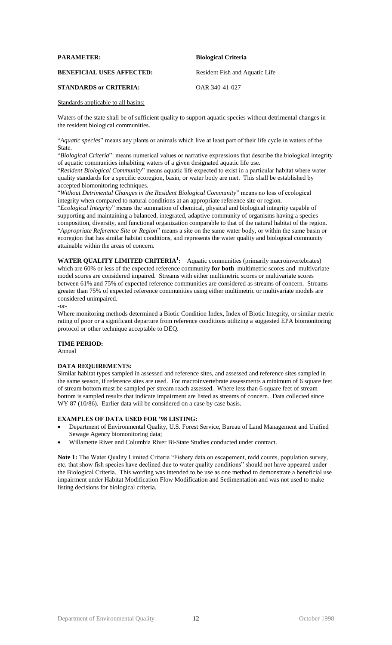#### **PARAMETER: Biological Criteria**

#### **BENEFICIAL USES AFFECTED:** Resident Fish and Aquatic Life

# **STANDARDS or CRITERIA:** OAR 340-41-027

#### Standards applicable to all basins:

Waters of the state shall be of sufficient quality to support aquatic species without detrimental changes in the resident biological communities.

"*Aquatic species*" means any plants or animals which live at least part of their life cycle in waters of the State.

"*Biological Criteria*": means numerical values or narrative expressions that describe the biological integrity of aquatic communities inhabiting waters of a given designated aquatic life use.

"*Resident Biological Community*" means aquatic life expected to exist in a particular habitat where water quality standards for a specific ecoregion, basin, or water body are met. This shall be established by accepted biomonitoring techniques.

"*Without Detrimental Changes in the Resident Biological Community*" means no loss of ecological integrity when compared to natural conditions at an appropriate reference site or region.

"*Ecological Integrity*" means the summation of chemical, physical and biological integrity capable of supporting and maintaining a balanced, integrated, adaptive community of organisms having a species composition, diversity, and functional organization comparable to that of the natural habitat of the region. "*Appropriate Reference Site or Region*" means a site on the same water body, or within the same basin or ecoregion that has similar habitat conditions, and represents the water quality and biological community attainable within the areas of concern.

**WATER QUALITY LIMITED CRITERIA<sup>1</sup> :** Aquatic communities (primarily macroinvertebrates) which are 60% or less of the expected reference community **for both** multimetric scores and multivariate model scores are considered impaired. Streams with either multimetric scores or multivariate scores between 61% and 75% of expected reference communities are considered as streams of concern. Streams greater than 75% of expected reference communities using either multimetric or multivariate models are considered unimpaired.

-or-

Where monitoring methods determined a Biotic Condition Index, Index of Biotic Integrity, or similar metric rating of poor or a significant departure from reference conditions utilizing a suggested EPA biomonitoring protocol or other technique acceptable to DEQ.

#### **TIME PERIOD:**

Annual

# **DATA REQUIREMENTS:**

Similar habitat types sampled in assessed and reference sites, and assessed and reference sites sampled in the same season, if reference sites are used. For macroinvertebrate assessments a minimum of 6 square feet of stream bottom must be sampled per stream reach assessed. Where less than 6 square feet of stream bottom is sampled results that indicate impairment are listed as streams of concern. Data collected since WY 87 (10/86). Earlier data will be considered on a case by case basis.

#### **EXAMPLES OF DATA USED FOR '98 LISTING:**

- Department of Environmental Quality, U.S. Forest Service, Bureau of Land Management and Unified Sewage Agency biomonitoring data;
- Willamette River and Columbia River Bi-State Studies conducted under contract.

**Note 1:** The Water Quality Limited Criteria "Fishery data on escapement, redd counts, population survey, etc. that show fish species have declined due to water quality conditions" should not have appeared under the Biological Criteria. This wording was intended to be use as one method to demonstrate a beneficial use impairment under Habitat Modification Flow Modification and Sedimentation and was not used to make listing decisions for biological criteria.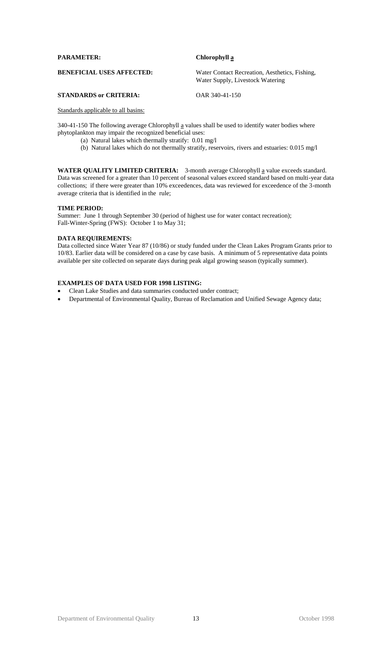| Chlorophyll a                                                                      |
|------------------------------------------------------------------------------------|
| Water Contact Recreation, Aesthetics, Fishing,<br>Water Supply, Livestock Watering |
|                                                                                    |

# **STANDARDS or CRITERIA:** OAR 340-41-150

# Standards applicable to all basins:

340-41-150 The following average Chlorophyll  $\alpha$  values shall be used to identify water bodies where phytoplankton may impair the recognized beneficial uses:

- (a) Natural lakes which thermally stratify: 0.01 mg/l
- (b) Natural lakes which do not thermally stratify, reservoirs, rivers and estuaries: 0.015 mg/l

WATER QUALITY LIMITED CRITERIA: 3-month average Chlorophyll a value exceeds standard. Data was screened for a greater than 10 percent of seasonal values exceed standard based on multi-year data collections; if there were greater than 10% exceedences, data was reviewed for exceedence of the 3-month average criteria that is identified in the rule;

# **TIME PERIOD:**

Summer: June 1 through September 30 (period of highest use for water contact recreation); Fall-Winter-Spring (FWS): October 1 to May 31;

# **DATA REQUIREMENTS:**

Data collected since Water Year 87 (10/86) or study funded under the Clean Lakes Program Grants prior to 10/83. Earlier data will be considered on a case by case basis. A minimum of 5 representative data points available per site collected on separate days during peak algal growing season (typically summer).

- Clean Lake Studies and data summaries conducted under contract;
- Departmental of Environmental Quality, Bureau of Reclamation and Unified Sewage Agency data;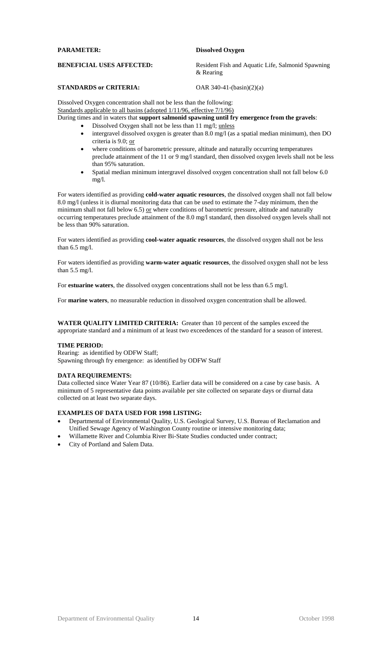# **STANDARDS or CRITERIA:** OAR 340-41-(basin)(2)(a)

Dissolved Oxygen concentration shall not be less than the following: Standards applicable to all basins (adopted  $1/11/96$ , effective  $7/1/96$ )

During times and in waters that **support salmonid spawning until fry emergence from the gravels**:

- Dissolved Oxygen shall not be less than 11 mg/l; unless
	- intergravel dissolved oxygen is greater than 8.0 mg/l (as a spatial median minimum), then DO criteria is 9.0; or
	- where conditions of barometric pressure, altitude and naturally occurring temperatures preclude attainment of the 11 or 9 mg/l standard, then dissolved oxygen levels shall not be less than 95% saturation.
	- Spatial median minimum intergravel dissolved oxygen concentration shall not fall below 6.0 mg/l.

For waters identified as providing **cold-water aquatic resources**, the dissolved oxygen shall not fall below 8.0 mg/l (unless it is diurnal monitoring data that can be used to estimate the 7-day minimum, then the minimum shall not fall below  $6.5$ ) or where conditions of barometric pressure, altitude and naturally occurring temperatures preclude attainment of the 8.0 mg/l standard, then dissolved oxygen levels shall not be less than 90% saturation.

For waters identified as providing **cool-water aquatic resources**, the dissolved oxygen shall not be less than 6.5 mg/l.

For waters identified as providing **warm-water aquatic resources**, the dissolved oxygen shall not be less than 5.5 mg/l.

For **estuarine waters**, the dissolved oxygen concentrations shall not be less than 6.5 mg/l.

For **marine waters**, no measurable reduction in dissolved oxygen concentration shall be allowed.

**WATER QUALITY LIMITED CRITERIA:** Greater than 10 percent of the samples exceed the appropriate standard and a minimum of at least two exceedences of the standard for a season of interest.

# **TIME PERIOD:**

Rearing: as identified by ODFW Staff; Spawning through fry emergence: as identified by ODFW Staff

# **DATA REQUIREMENTS:**

Data collected since Water Year 87 (10/86). Earlier data will be considered on a case by case basis. A minimum of 5 representative data points available per site collected on separate days or diurnal data collected on at least two separate days.

# **EXAMPLES OF DATA USED FOR 1998 LISTING:**

- Departmental of Environmental Quality, U.S. Geological Survey, U.S. Bureau of Reclamation and Unified Sewage Agency of Washington County routine or intensive monitoring data;
- Willamette River and Columbia River Bi-State Studies conducted under contract;
- City of Portland and Salem Data.

**PARAMETER: Dissolved Oxygen**

**BENEFICIAL USES AFFECTED:** Resident Fish and Aquatic Life, Salmonid Spawning & Rearing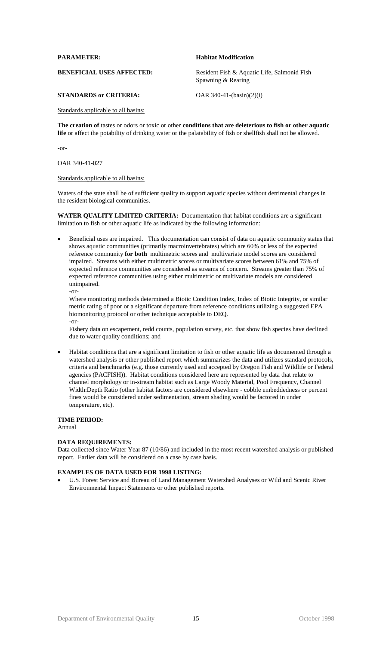#### **PARAMETER: Habitat Modification**

BENEFICIAL USES AFFECTED: Resident Fish & Aquatic Life, Salmonid Fish Spawning & Rearing

# **STANDARDS or CRITERIA:** OAR 340-41-(basin)(2)(i)

# Standards applicable to all basins:

**The creation of** tastes or odors or toxic or other **conditions that are deleterious to fish or other aquatic life** or affect the potability of drinking water or the palatability of fish or shellfish shall not be allowed.

-or-

#### OAR 340-41-027

# Standards applicable to all basins:

Waters of the state shall be of sufficient quality to support aquatic species without detrimental changes in the resident biological communities.

**WATER QUALITY LIMITED CRITERIA:** Documentation that habitat conditions are a significant limitation to fish or other aquatic life as indicated by the following information:

 Beneficial uses are impaired. This documentation can consist of data on aquatic community status that shows aquatic communities (primarily macroinvertebrates) which are 60% or less of the expected reference community **for both** multimetric scores and multivariate model scores are considered impaired. Streams with either multimetric scores or multivariate scores between 61% and 75% of expected reference communities are considered as streams of concern. Streams greater than 75% of expected reference communities using either multimetric or multivariate models are considered unimpaired. -or-

Where monitoring methods determined a Biotic Condition Index, Index of Biotic Integrity, or similar metric rating of poor or a significant departure from reference conditions utilizing a suggested EPA biomonitoring protocol or other technique acceptable to DEQ. -or-

Fishery data on escapement, redd counts, population survey, etc. that show fish species have declined due to water quality conditions; and

 Habitat conditions that are a significant limitation to fish or other aquatic life as documented through a watershed analysis or other published report which summarizes the data and utilizes standard protocols, criteria and benchmarks (e.g. those currently used and accepted by Oregon Fish and Wildlife or Federal agencies (PACFISH)). Habitat conditions considered here are represented by data that relate to channel morphology or in-stream habitat such as Large Woody Material, Pool Frequency, Channel Width:Depth Ratio (other habitat factors are considered elsewhere - cobble embeddedness or percent fines would be considered under sedimentation, stream shading would be factored in under temperature, etc).

# **TIME PERIOD:**

Annual

#### **DATA REQUIREMENTS:**

Data collected since Water Year 87 (10/86) and included in the most recent watershed analysis or published report. Earlier data will be considered on a case by case basis.

# **EXAMPLES OF DATA USED FOR 1998 LISTING:**

 U.S. Forest Service and Bureau of Land Management Watershed Analyses or Wild and Scenic River Environmental Impact Statements or other published reports.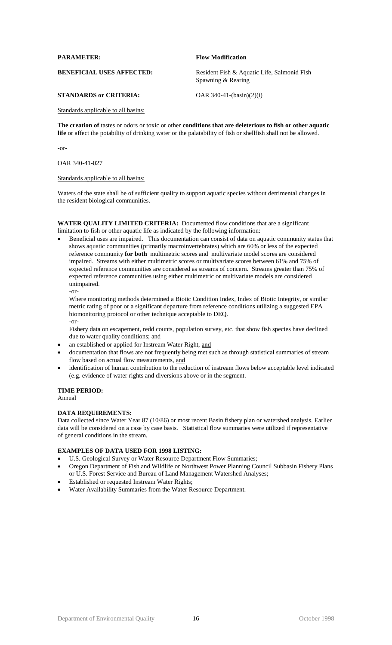#### **PARAMETER: Flow Modification**

BENEFICIAL USES AFFECTED: Resident Fish & Aquatic Life, Salmonid Fish Spawning & Rearing

# **STANDARDS or CRITERIA:** OAR 340-41-(basin)(2)(i)

# Standards applicable to all basins:

**The creation of** tastes or odors or toxic or other **conditions that are deleterious to fish or other aquatic life** or affect the potability of drinking water or the palatability of fish or shellfish shall not be allowed.

-or-

#### OAR 340-41-027

# Standards applicable to all basins:

Waters of the state shall be of sufficient quality to support aquatic species without detrimental changes in the resident biological communities.

# **WATER QUALITY LIMITED CRITERIA:** Documented flow conditions that are a significant limitation to fish or other aquatic life as indicated by the following information:

 Beneficial uses are impaired. This documentation can consist of data on aquatic community status that shows aquatic communities (primarily macroinvertebrates) which are 60% or less of the expected reference community **for both** multimetric scores and multivariate model scores are considered impaired. Streams with either multimetric scores or multivariate scores between 61% and 75% of expected reference communities are considered as streams of concern. Streams greater than 75% of expected reference communities using either multimetric or multivariate models are considered unimpaired. -or-

Where monitoring methods determined a Biotic Condition Index, Index of Biotic Integrity, or similar metric rating of poor or a significant departure from reference conditions utilizing a suggested EPA biomonitoring protocol or other technique acceptable to DEQ. -or-

Fishery data on escapement, redd counts, population survey, etc. that show fish species have declined due to water quality conditions; and

- an established or applied for Instream Water Right, and
- documentation that flows are not frequently being met such as through statistical summaries of stream flow based on actual flow measurements, and
- identification of human contribution to the reduction of instream flows below acceptable level indicated (e.g. evidence of water rights and diversions above or in the segment.

# **TIME PERIOD:**

Annual

# **DATA REQUIREMENTS:**

Data collected since Water Year 87 (10/86) or most recent Basin fishery plan or watershed analysis. Earlier data will be considered on a case by case basis. Statistical flow summaries were utilized if representative of general conditions in the stream.

- U.S. Geological Survey or Water Resource Department Flow Summaries;
- Oregon Department of Fish and Wildlife or Northwest Power Planning Council Subbasin Fishery Plans or U.S. Forest Service and Bureau of Land Management Watershed Analyses;
- Established or requested Instream Water Rights;
- Water Availability Summaries from the Water Resource Department.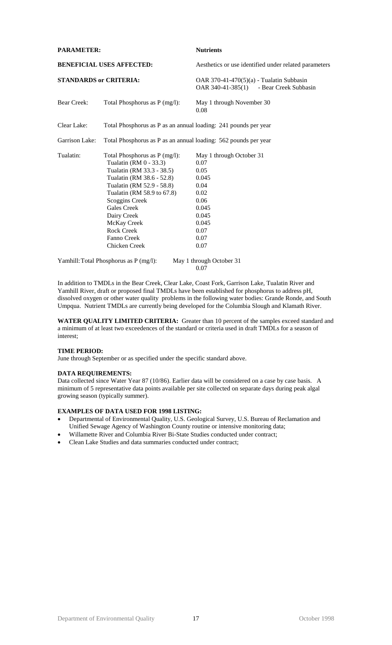| <b>PARAMETER:</b>             |                                                                                                                                                                                                                                                                                                         | <b>Nutrients</b>                                                                                                             |
|-------------------------------|---------------------------------------------------------------------------------------------------------------------------------------------------------------------------------------------------------------------------------------------------------------------------------------------------------|------------------------------------------------------------------------------------------------------------------------------|
|                               | <b>BENEFICIAL USES AFFECTED:</b>                                                                                                                                                                                                                                                                        | Aesthetics or use identified under related parameters                                                                        |
| <b>STANDARDS or CRITERIA:</b> |                                                                                                                                                                                                                                                                                                         | OAR 370-41-470(5)(a) - Tualatin Subbasin<br>OAR 340-41-385(1) - Bear Creek Subbasin                                          |
| <b>Bear Creek:</b>            | Total Phosphorus as P (mg/l):                                                                                                                                                                                                                                                                           | May 1 through November 30<br>0.08                                                                                            |
| Clear Lake:                   | Total Phosphorus as P as an annual loading: 241 pounds per year                                                                                                                                                                                                                                         |                                                                                                                              |
| Garrison Lake:                | Total Phosphorus as P as an annual loading: 562 pounds per year                                                                                                                                                                                                                                         |                                                                                                                              |
| Tualatin:                     | Total Phosphorus as P (mg/l):<br>Tualatin (RM 0 - 33.3)<br>Tualatin (RM 33.3 - 38.5)<br>Tualatin (RM 38.6 - 52.8)<br>Tualatin (RM 52.9 - 58.8)<br>Tualatin (RM 58.9 to 67.8)<br>Scoggins Creek<br><b>Gales Creek</b><br>Dairy Creek<br>McKay Creek<br><b>Rock Creek</b><br>Fanno Creek<br>Chicken Creek | May 1 through October 31<br>0.07<br>0.05<br>0.045<br>0.04<br>0.02<br>0.06<br>0.045<br>0.045<br>0.045<br>0.07<br>0.07<br>0.07 |
|                               | Yamhill: Total Phosphorus as P (mg/l):                                                                                                                                                                                                                                                                  | May 1 through October 31                                                                                                     |

0.07

In addition to TMDLs in the Bear Creek, Clear Lake, Coast Fork, Garrison Lake, Tualatin River and Yamhill River, draft or proposed final TMDLs have been established for phosphorus to address pH, dissolved oxygen or other water quality problems in the following water bodies: Grande Ronde, and South Umpqua. Nutrient TMDLs are currently being developed for the Columbia Slough and Klamath River.

**WATER QUALITY LIMITED CRITERIA:** Greater than 10 percent of the samples exceed standard and a minimum of at least two exceedences of the standard or criteria used in draft TMDLs for a season of interest;

# **TIME PERIOD:**

June through September or as specified under the specific standard above.

# **DATA REQUIREMENTS:**

Data collected since Water Year 87 (10/86). Earlier data will be considered on a case by case basis. A minimum of 5 representative data points available per site collected on separate days during peak algal growing season (typically summer).

- Departmental of Environmental Quality, U.S. Geological Survey, U.S. Bureau of Reclamation and Unified Sewage Agency of Washington County routine or intensive monitoring data;
- Willamette River and Columbia River Bi-State Studies conducted under contract;
- Clean Lake Studies and data summaries conducted under contract;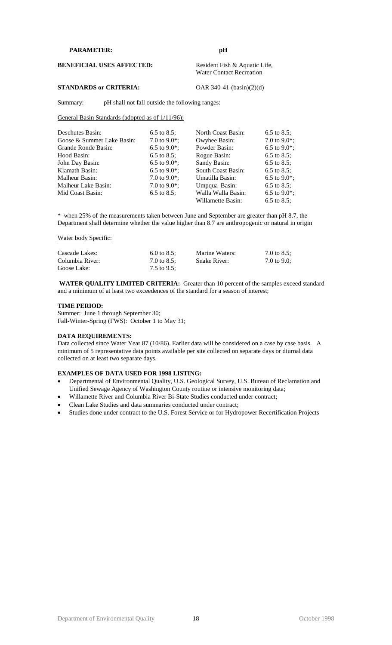#### **PARAMETER: pH**

**BENEFICIAL USES AFFECTED:** Resident Fish & Aquatic Life,

Water Contact Recreation

# **STANDARDS or CRITERIA:** OAR 340-41-(basin)(2)(d)

Summary: pH shall not fall outside the following ranges:

#### General Basin Standards (adopted as of  $1/11/96$ ):

| Deschutes Basin:           | 6.5 to 8.5;      | North Coast Basin: | 6.5 to 8.5;      |
|----------------------------|------------------|--------------------|------------------|
| Goose & Summer Lake Basin: | 7.0 to 9.0 $*$ ; | Owyhee Basin:      | 7.0 to 9.0 $*$ ; |
| Grande Ronde Basin:        | 6.5 to 9.0 $*$ ; | Powder Basin:      | 6.5 to 9.0 $*$ ; |
| Hood Basin:                | 6.5 to 8.5;      | Rogue Basin:       | 6.5 to 8.5;      |
| John Day Basin:            | 6.5 to 9.0 $*$ ; | Sandy Basin:       | 6.5 to 8.5;      |
| Klamath Basin:             | 6.5 to 9.0 $*$ ; | South Coast Basin: | 6.5 to 8.5;      |
| Malheur Basin:             | 7.0 to 9.0 $*$ ; | Umatilla Basin:    | 6.5 to 9.0 $*$ ; |
| Malheur Lake Basin:        | 7.0 to 9.0 $*$ ; | Umpqua Basin:      | 6.5 to 8.5;      |
| Mid Coast Basin:           | 6.5 to 8.5;      | Walla Walla Basin: | 6.5 to 9.0 $*$ ; |
|                            |                  | Willamette Basin:  | 6.5 to 8.5:      |

\* when 25% of the measurements taken between June and September are greater than pH 8.7, the Department shall determine whether the value higher than 8.7 are anthropogenic or natural in origin

Water body Specific:

| Cascade Lakes:  | 6.0 to 8.5: | Marine Waters:      | 7.0 to 8.5; |
|-----------------|-------------|---------------------|-------------|
| Columbia River: | 7.0 to 8.5: | <b>Snake River:</b> | 7.0 to 9.0: |
| Goose Lake:     | 7.5 to 9.5; |                     |             |

**WATER QUALITY LIMITED CRITERIA:** Greater than 10 percent of the samples exceed standard and a minimum of at least two exceedences of the standard for a season of interest;

# **TIME PERIOD:**

Summer: June 1 through September 30; Fall-Winter-Spring (FWS): October 1 to May 31;

#### **DATA REQUIREMENTS:**

Data collected since Water Year 87 (10/86). Earlier data will be considered on a case by case basis. A minimum of 5 representative data points available per site collected on separate days or diurnal data collected on at least two separate days.

- Departmental of Environmental Quality, U.S. Geological Survey, U.S. Bureau of Reclamation and Unified Sewage Agency of Washington County routine or intensive monitoring data;
- Willamette River and Columbia River Bi-State Studies conducted under contract;
- Clean Lake Studies and data summaries conducted under contract;
- Studies done under contract to the U.S. Forest Service or for Hydropower Recertification Projects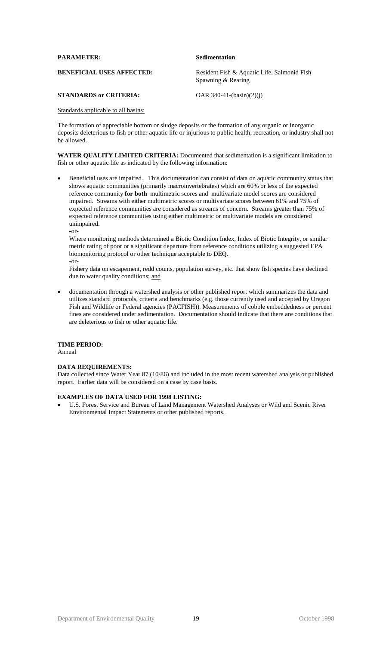| <b>PARAMETER:</b>                | Sedimentation                                                     |
|----------------------------------|-------------------------------------------------------------------|
| <b>BENEFICIAL USES AFFECTED:</b> | Resident Fish & Aquatic Life, Salmonid Fish<br>Spawning & Rearing |
| <b>STANDARDS or CRITERIA:</b>    | OAR $340-41-(basin)(2)(i)$                                        |

The formation of appreciable bottom or sludge deposits or the formation of any organic or inorganic deposits deleterious to fish or other aquatic life or injurious to public health, recreation, or industry shall not be allowed.

**WATER QUALITY LIMITED CRITERIA:** Documented that sedimentation is a significant limitation to fish or other aquatic life as indicated by the following information:

 Beneficial uses are impaired. This documentation can consist of data on aquatic community status that shows aquatic communities (primarily macroinvertebrates) which are 60% or less of the expected reference community **for both** multimetric scores and multivariate model scores are considered impaired. Streams with either multimetric scores or multivariate scores between 61% and 75% of expected reference communities are considered as streams of concern. Streams greater than 75% of expected reference communities using either multimetric or multivariate models are considered unimpaired. -or-

Where monitoring methods determined a Biotic Condition Index, Index of Biotic Integrity, or similar metric rating of poor or a significant departure from reference conditions utilizing a suggested EPA biomonitoring protocol or other technique acceptable to DEQ. -or-

Fishery data on escapement, redd counts, population survey, etc. that show fish species have declined due to water quality conditions; and

 documentation through a watershed analysis or other published report which summarizes the data and utilizes standard protocols, criteria and benchmarks (e.g. those currently used and accepted by Oregon Fish and Wildlife or Federal agencies (PACFISH)). Measurements of cobble embeddedness or percent fines are considered under sedimentation. Documentation should indicate that there are conditions that are deleterious to fish or other aquatic life.

# **TIME PERIOD:**

Annual

# **DATA REQUIREMENTS:**

Data collected since Water Year 87 (10/86) and included in the most recent watershed analysis or published report. Earlier data will be considered on a case by case basis.

# **EXAMPLES OF DATA USED FOR 1998 LISTING:**

 U.S. Forest Service and Bureau of Land Management Watershed Analyses or Wild and Scenic River Environmental Impact Statements or other published reports.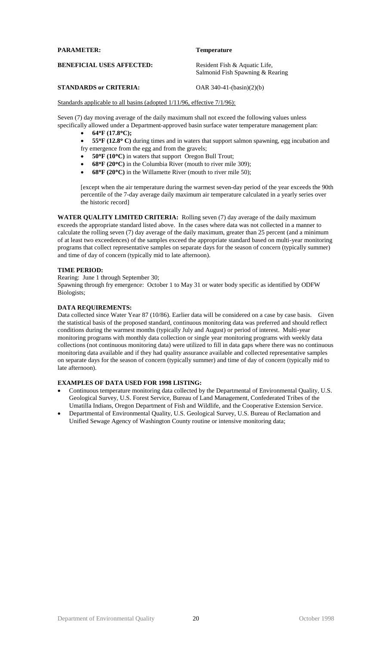| <b>PARAMETER:</b>                | <b>Temperature</b>                                                |
|----------------------------------|-------------------------------------------------------------------|
| <b>BENEFICIAL USES AFFECTED:</b> | Resident Fish & Aquatic Life,<br>Salmonid Fish Spawning & Rearing |

# **STANDARDS or CRITERIA:** OAR 340-41-(basin)(2)(b)

Standards applicable to all basins (adopted  $1/11/96$ , effective  $7/1/96$ ):

Seven (7) day moving average of the daily maximum shall not exceed the following values unless specifically allowed under a Department-approved basin surface water temperature management plan:

- **64F (17.8C);**
- **55F (12.8 C)** during times and in waters that support salmon spawning, egg incubation and
- fry emergence from the egg and from the gravels;
- **50F (10C)** in waters that support Oregon Bull Trout;
- **68F (20C)** in the Columbia River (mouth to river mile 309);
- **68F (20C)** in the Willamette River (mouth to river mile 50);

[except when the air temperature during the warmest seven-day period of the year exceeds the 90th percentile of the 7-day average daily maximum air temperature calculated in a yearly series over the historic record]

**WATER QUALITY LIMITED CRITERIA:** Rolling seven (7) day average of the daily maximum exceeds the appropriate standard listed above. In the cases where data was not collected in a manner to calculate the rolling seven (7) day average of the daily maximum, greater than 25 percent (and a minimum of at least two exceedences) of the samples exceed the appropriate standard based on multi-year monitoring programs that collect representative samples on separate days for the season of concern (typically summer) and time of day of concern (typically mid to late afternoon).

# **TIME PERIOD:**

Rearing: June 1 through September 30;

Spawning through fry emergence: October 1 to May 31 or water body specific as identified by ODFW Biologists;

# **DATA REQUIREMENTS:**

Data collected since Water Year 87 (10/86). Earlier data will be considered on a case by case basis. Given the statistical basis of the proposed standard, continuous monitoring data was preferred and should reflect conditions during the warmest months (typically July and August) or period of interest. Multi-year monitoring programs with monthly data collection or single year monitoring programs with weekly data collections (not continuous monitoring data) were utilized to fill in data gaps where there was no continuous monitoring data available and if they had quality assurance available and collected representative samples on separate days for the season of concern (typically summer) and time of day of concern (typically mid to late afternoon).

- Continuous temperature monitoring data collected by the Departmental of Environmental Quality, U.S. Geological Survey, U.S. Forest Service, Bureau of Land Management, Confederated Tribes of the Umatilla Indians, Oregon Department of Fish and Wildlife, and the Cooperative Extension Service.
- Departmental of Environmental Quality, U.S. Geological Survey, U.S. Bureau of Reclamation and Unified Sewage Agency of Washington County routine or intensive monitoring data;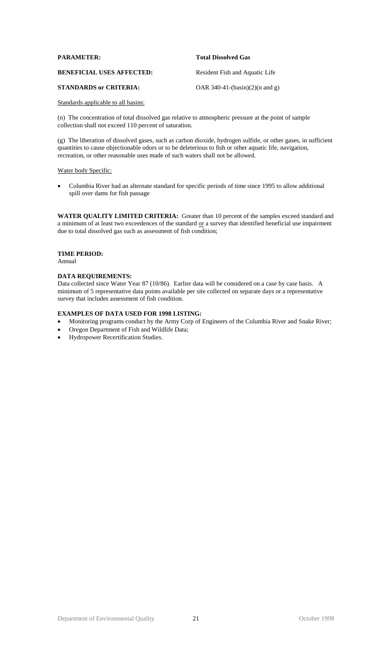| <b>PARAMETER:</b>                | <b>Total Dissolved Gas</b>        |
|----------------------------------|-----------------------------------|
| <b>BENEFICIAL USES AFFECTED:</b> | Resident Fish and Aquatic Life    |
| <b>STANDARDS or CRITERIA:</b>    | OAR 340-41- $(basin)(2)(n and g)$ |

(n) The concentration of total dissolved gas relative to atmospheric pressure at the point of sample collection shall not exceed 110 percent of saturation.

(g) The liberation of dissolved gases, such as carbon dioxide, hydrogen sulfide, or other gases, in sufficient quantities to cause objectionable odors or to be deleterious to fish or other aquatic life, navigation, recreation, or other reasonable uses made of such waters shall not be allowed.

#### Water body Specific:

 Columbia River had an alternate standard for specific periods of time since 1995 to allow additional spill over dams for fish passage

**WATER QUALITY LIMITED CRITERIA:** Greater than 10 percent of the samples exceed standard and a minimum of at least two exceedences of the standard  $or$  a survey that identified beneficial use impairment due to total dissolved gas such as assessment of fish condition;

# **TIME PERIOD:**

Annual

# **DATA REQUIREMENTS:**

Data collected since Water Year 87 (10/86). Earlier data will be considered on a case by case basis. A minimum of 5 representative data points available per site collected on separate days or a representative survey that includes assessment of fish condition.

- Monitoring programs conduct by the Army Corp of Engineers of the Columbia River and Snake River;
- Oregon Department of Fish and Wildlife Data;
- Hydropower Recertification Studies.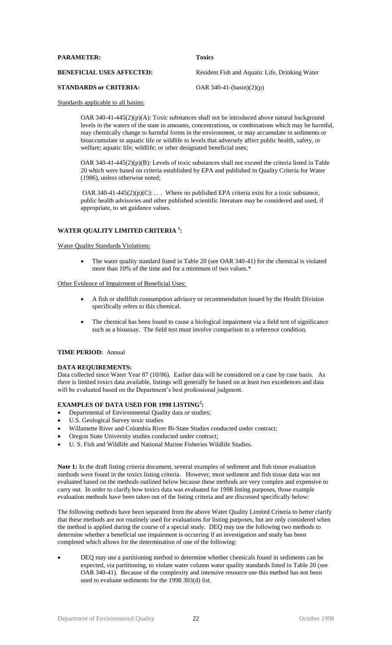| <b>PARAMETER:</b>                | <b>Toxics</b>                                  |
|----------------------------------|------------------------------------------------|
| <b>BENEFICIAL USES AFFECTED:</b> | Resident Fish and Aquatic Life, Drinking Water |
| <b>STANDARDS or CRITERIA:</b>    | OAR $340-41-(basin)(2)(p)$                     |

OAR 340-41-445(2)(p)(A): Toxic substances shall not be introduced above natural background levels in the waters of the state in amounts, concentrations, or combinations which may be harmful, may chemically change to harmful forms in the environment, or may accumulate in sediments or bioaccumulate in aquatic life or wildlife to levels that adversely affect public health, safety, or welfare; aquatic life; wildlife; or other designated beneficial uses;

OAR 340-41-445(2)(p)(B): Levels of toxic substances shall not exceed the criteria listed in Table 20 which were based on criteria established by EPA and published in Quality Criteria for Water (1986), unless otherwise noted;

OAR 340-41-445(2)(p)(C): ... Where no published EPA criteria exist for a toxic substance, public health advisories and other published scientific literature may be considered and used, if appropriate, to set guidance values.

# **WATER QUALITY LIMITED CRITERIA <sup>1</sup> :**

# Water Quality Standards Violations:

• The water quality standard listed in Table 20 (see OAR 340-41) for the chemical is violated more than 10% of the time and for a minimum of two values.\*

#### Other Evidence of Impairment of Beneficial Uses:

- A fish or shellfish consumption advisory or recommendation issued by the Health Division specifically refers to this chemical.
- The chemical has been found to cause a biological impairment via a field test of significance such as a bioassay. The field test must involve comparison to a reference condition.

# **TIME PERIOD:** Annual

# **DATA REQUIREMENTS:**

Data collected since Water Year 87 (10/86). Earlier data will be considered on a case by case basis. As there is limited toxics data available, listings will generally be based on at least two excedences and data will be evaluated based on the Department's best professional judgment.

# **EXAMPLES OF DATA USED FOR 1998 LISTING<sup>2</sup> :**

- Departmental of Environmental Quality data or studies;
- U.S. Geological Survey toxic studies
- Willamette River and Columbia River Bi-State Studies conducted under contract;
- Oregon State University studies conducted under contract;
- U. S. Fish and Wildlife and National Marine Fisheries Wildlife Studies.

**Note 1:** In the draft listing criteria document, several examples of sediment and fish tissue evaluation methods were found in the toxics listing criteria. However, most sediment and fish tissue data was not evaluated based on the methods outlined below because these methods are very complex and expensive to carry out. In order to clarify how toxics data was evaluated for 1998 listing purposes, those example evaluation methods have been taken out of the listing criteria and are discussed specifically below:

The following methods have been separated from the above Water Quality Limited Criteria to better clarify that these methods are not routinely used for evaluations for listing purposes, but are only considered when the method is applied during the course of a special study. DEQ may use the following two methods to determine whether a beneficial use impairment is occurring if an investigation and study has been completed which allows for the determination of one of the following:

 DEQ may use a partitioning method to determine whether chemicals found in sediments can be expected, via partitioning, to violate water column water quality standards listed in Table 20 (see OAR 340-41). Because of the complexity and intensive resource use this method has not been used to evaluate sediments for the 1998 303(d) list.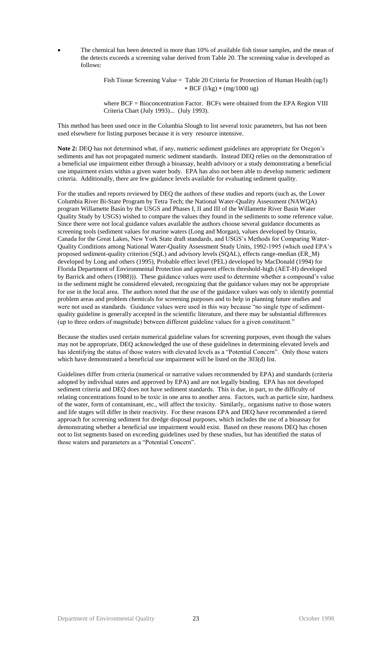The chemical has been detected in more than 10% of available fish tissue samples, and the mean of the detects exceeds a screening value derived from Table 20. The screening value is developed as follows:

> Fish Tissue Screening Value = Table 20 Criteria for Protection of Human Health (ug/l) \* BCF ( $1/kg$ ) \* (mg/1000 ug)

> where BCF = Bioconcentration Factor. BCFs were obtained from the EPA Region VIII Criteria Chart (July 1993)... (July 1993).

This method has been used once in the Columbia Slough to list several toxic parameters, but has not been used elsewhere for listing purposes because it is very resource intensive.

**Note 2:** DEQ has not determined what, if any, numeric sediment guidelines are appropriate for Oregon's sediments and has not propagated numeric sediment standards. Instead DEQ relies on the demonstration of a beneficial use impairment either through a bioassay, health advisory or a study demonstrating a beneficial use impairment exists within a given water body. EPA has also not been able to develop numeric sediment criteria. Additionally, there are few guidance levels available for evaluating sediment quality.

For the studies and reports reviewed by DEQ the authors of these studies and reports (such as, the Lower Columbia River Bi-State Program by Tetra Tech; the National Water-Quality Assessment (NAWQA) program Willamette Basin by the USGS and Phases I, II and III of the Willamette River Basin Water Quality Study by USGS) wished to compare the values they found in the sediments to some reference value. Since there were not local guidance values available the authors choose several guidance documents as screening tools (sediment values for marine waters (Long and Morgan), values developed by Ontario, Canada for the Great Lakes, New York State draft standards, and USGS's Methods for Comparing Water-Quality Conditions among National Water-Quality Assessment Study Units, 1992-1995 (which used EPA's proposed sediment-quality criterion (SQL) and advisory levels (SQAL), effects range-median (ER\_M) developed by Long and others (1995), Probable effect level (PEL) developed by MacDonald (1994) for Florida Department of Environmental Protection and apparent effects threshold-high (AET-H) developed by Barrick and others (1988))). These guidance values were used to determine whether a compound's value in the sediment might be considered elevated, recognizing that the guidance values may not be appropriate for use in the local area. The authors noted that the use of the guidance values was only to identify potential problem areas and problem chemicals for screening purposes and to help in planning future studies and were not used as standards. Guidance values were used in this way because "no single type of sedimentquality guideline is generally accepted in the scientific literature, and there may be substantial differences (up to three orders of magnitude) between different guideline values for a given constituent."

Because the studies used certain numerical guideline values for screening purposes, even though the values may not be appropriate, DEQ acknowledged the use of these guidelines in determining elevated levels and has identifying the status of those waters with elevated levels as a "Potential Concern". Only those waters which have demonstrated a beneficial use impairment will be listed on the 303(d) list.

Guidelines differ from criteria (numerical or narrative values recommended by EPA) and standards (criteria adopted by individual states and approved by EPA) and are not legally binding. EPA has not developed sediment criteria and DEQ does not have sediment standards. This is due, in part, to the difficulty of relating concentrations found to be toxic in one area to another area. Factors, such as particle size, hardness of the water, form of contaminant, etc., will affect the toxicity. Similarly,. organisms native to those waters and life stages will differ in their reactivity. For these reasons EPA and DEQ have recommended a tiered approach for screening sediment for dredge disposal purposes, which includes the use of a bioassay for demonstrating whether a beneficial use impairment would exist. Based on these reasons DEQ has chosen not to list segments based on exceeding guidelines used by these studies, but has identified the status of those waters and parameters as a "Potential Concern".